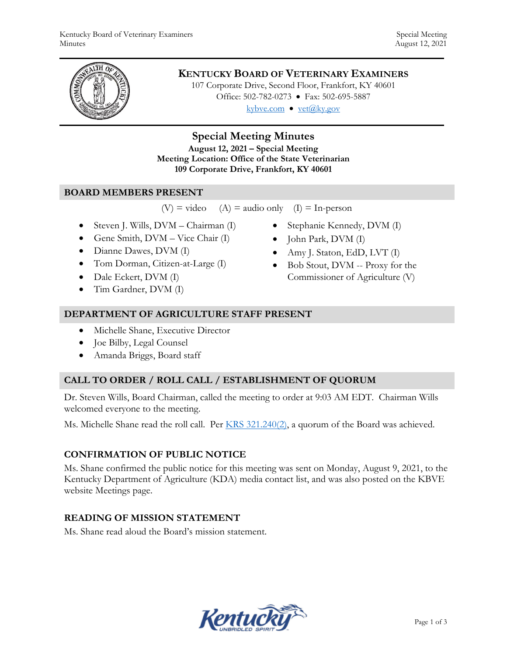

# **KENTUCKY BOARD OF VETERINARY EXAMINERS**

107 Corporate Drive, Second Floor, Frankfort, KY 40601 Office: 502-782-0273 • Fax: 502-695-5887 kybve.com  $\bullet$  yet@ky.gov

# **Special Meeting Minutes**

**August 12, 2021 – Special Meeting Meeting Location: Office of the State Veterinarian 109 Corporate Drive, Frankfort, KY 40601** 

### **BOARD MEMBERS PRESENT**

```
(V) = video (A) = audio only (I) = In-person
```
- Steven J. Wills, DVM Chairman (I)
- Gene Smith, DVM Vice Chair (I)
- Dianne Dawes, DVM (I)
- Tom Dorman, Citizen-at-Large (I)
- Dale Eckert, DVM (I)
- Tim Gardner, DVM (I)
- Stephanie Kennedy, DVM (I)
- John Park, DVM (I)
- Amy J. Staton, EdD, LVT (I)
- Bob Stout, DVM -- Proxy for the Commissioner of Agriculture (V)

### **DEPARTMENT OF AGRICULTURE STAFF PRESENT**

- Michelle Shane, Executive Director
- Joe Bilby, Legal Counsel
- Amanda Briggs, Board staff

# **CALL TO ORDER / ROLL CALL / ESTABLISHMENT OF QUORUM**

Dr. Steven Wills, Board Chairman, called the meeting to order at 9:03 AM EDT. Chairman Wills welcomed everyone to the meeting.

Ms. Michelle Shane read the roll call. Per KRS 321.240(2), a quorum of the Board was achieved.

# **CONFIRMATION OF PUBLIC NOTICE**

Ms. Shane confirmed the public notice for this meeting was sent on Monday, August 9, 2021, to the Kentucky Department of Agriculture (KDA) media contact list, and was also posted on the KBVE website Meetings page.

# **READING OF MISSION STATEMENT**

Ms. Shane read aloud the Board's mission statement.

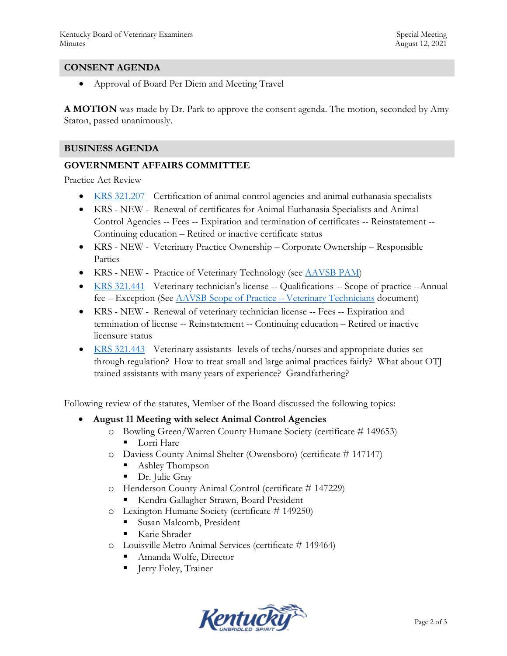### **CONSENT AGENDA**

Approval of Board Per Diem and Meeting Travel

**A MOTION** was made by Dr. Park to approve the consent agenda. The motion, seconded by Amy Staton, passed unanimously.

### **BUSINESS AGENDA**

### **GOVERNMENT AFFAIRS COMMITTEE**

Practice Act Review

- KRS 321.207 Certification of animal control agencies and animal euthanasia specialists
- KRS NEW Renewal of certificates for Animal Euthanasia Specialists and Animal Control Agencies -- Fees -- Expiration and termination of certificates -- Reinstatement -- Continuing education – Retired or inactive certificate status
- KRS NEW Veterinary Practice Ownership Corporate Ownership Responsible Parties
- KRS NEW Practice of Veterinary Technology (see **AAVSB PAM**)
- KRS 321.441 Veterinary technician's license -- Qualifications -- Scope of practice --Annual fee – Exception (See AAVSB Scope of Practice – Veterinary Technicians document)
- KRS NEW Renewal of veterinary technician license -- Fees -- Expiration and termination of license -- Reinstatement -- Continuing education – Retired or inactive licensure status
- KRS 321.443 Veterinary assistants- levels of techs/nurses and appropriate duties set through regulation? How to treat small and large animal practices fairly? What about OTJ trained assistants with many years of experience? Grandfathering?

Following review of the statutes, Member of the Board discussed the following topics:

#### **August 11 Meeting with select Animal Control Agencies**

- o Bowling Green/Warren County Humane Society (certificate # 149653) **Lorri Hare**
- o Daviess County Animal Shelter (Owensboro) (certificate # 147147)
	- Ashley Thompson
	- Dr. Julie Gray
- o Henderson County Animal Control (certificate # 147229)
	- Kendra Gallagher-Strawn, Board President
- o Lexington Humane Society (certificate # 149250)
	- **Susan Malcomb, President**
	- Karie Shrader
- o Louisville Metro Animal Services (certificate # 149464)
	- Amanda Wolfe, Director
	- **Figure 1** Jerry Foley, Trainer

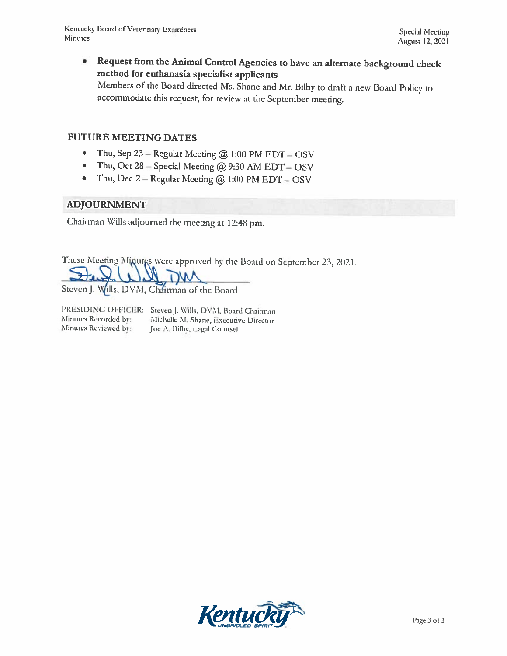Request from the Animal Control Agencies to have an alternate background check ٠ method for euthanasia specialist applicants Members of the Board directed Ms. Shane and Mr. Bilby to draft a new Board Policy to accommodate this request, for review at the September meeting.

# **FUTURE MEETING DATES**

- Thu, Sep 23 Regular Meeting  $@$  1:00 PM EDT OSV  $\bullet$
- Thu, Oct 28 Special Meeting  $@$  9:30 AM EDT OSV  $\bullet$
- Thu, Dec  $2 -$  Regular Meeting  $@ 1:00$  PM EDT  $-$  OSV  $\bullet$

### **ADJOURNMENT**

Chairman Wills adjourned the meeting at 12:48 pm.

These Meeting Minutes were approved by the Board on September 23, 2021.

Steven J. Wills, DVM, Chairman of the Board

Minutes Recorded by: Minutes Reviewed by:

PRESIDING OFFICER: Steven J. Wills, DVM, Board Chairman Michelle M. Shane, Executive Director Joe A. Bilby, Legal Counsel

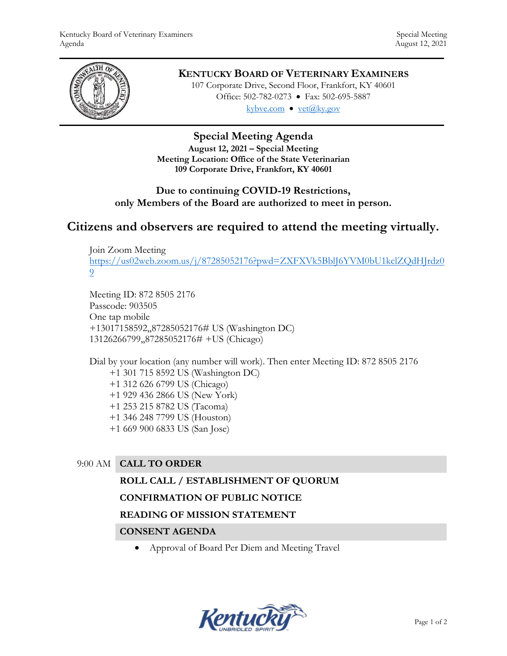

# **KENTUCKY BOARD OF VETERINARY EXAMINERS**

107 Corporate Drive, Second Floor, Frankfort, KY 40601 Office: 502-782-0273 • Fax: 502-695-5887 kybve.com  $\bullet$  yet $(\partial_k ky.gov)$ 

# **Special Meeting Agenda**

**August 12, 2021 – Special Meeting Meeting Location: Office of the State Veterinarian 109 Corporate Drive, Frankfort, KY 40601**

# **Due to continuing COVID-19 Restrictions, only Members of the Board are authorized to meet in person.**

# **Citizens and observers are required to attend the meeting virtually.**

Join Zoom Meeting [https://us02web.zoom.us/j/87285052176?pwd=ZXFXVk5BblJ6YVM0bU1kclZQdHJrdz0](https://us02web.zoom.us/j/87285052176?pwd=ZXFXVk5BblJ6YVM0bU1kclZQdHJrdz09) [9](https://us02web.zoom.us/j/87285052176?pwd=ZXFXVk5BblJ6YVM0bU1kclZQdHJrdz09)

Meeting ID: 872 8505 2176 Passcode: 903505 One tap mobile +13017158592,,87285052176# US (Washington DC) 13126266799,,87285052176# +US (Chicago)

Dial by your location (any number will work). Then enter Meeting ID: 872 8505 2176 +1 301 715 8592 US (Washington DC) +1 312 626 6799 US (Chicago) +1 929 436 2866 US (New York) +1 253 215 8782 US (Tacoma) +1 346 248 7799 US (Houston) +1 669 900 6833 US (San Jose)

# 9:00 AM **CALL TO ORDER**

### **ROLL CALL / ESTABLISHMENT OF QUORUM**

# **CONFIRMATION OF PUBLIC NOTICE**

### **READING OF MISSION STATEMENT**

### **CONSENT AGENDA**

Approval of Board Per Diem and Meeting Travel